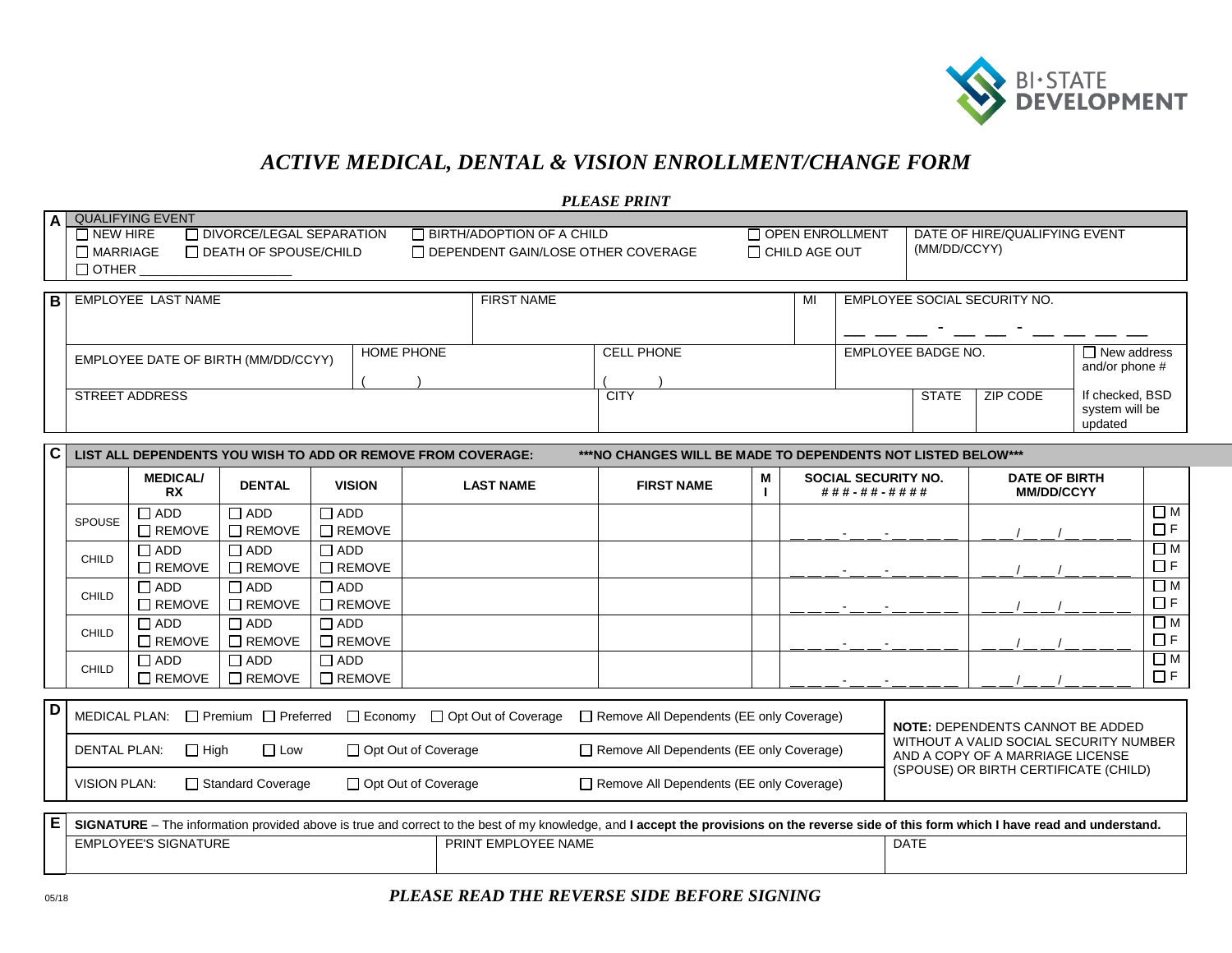

(SPOUSE) OR BIRTH CERTIFICATE (CHILD)

## *ACTIVE MEDICAL, DENTAL & VISION ENROLLMENT/CHANGE FORM*

|       | <b>PLEASE PRINT</b>                                                                                                            |                                                                          |                   |                                                |  |                    |                               |                                              |  |
|-------|--------------------------------------------------------------------------------------------------------------------------------|--------------------------------------------------------------------------|-------------------|------------------------------------------------|--|--------------------|-------------------------------|----------------------------------------------|--|
|       | A QUALIFYING EVENT                                                                                                             |                                                                          |                   |                                                |  |                    |                               |                                              |  |
|       | $\Box$ DIVORCE/LEGAL SEPARATION<br>$\Box$ NEW HIRE<br>□ DEATH OF SPOUSE/CHILD<br>$\Box$ MARRIAGE<br>$\Box$ OTHER               | □ BIRTH/ADOPTION OF A CHILD<br>$\Box$ DEPENDENT GAIN/LOSE OTHER COVERAGE |                   | $\Box$ OPEN ENROLLMENT<br>$\Box$ CHILD AGE OUT |  | (MM/DD/CCYY)       | DATE OF HIRE/QUALIFYING EVENT |                                              |  |
| l B l | <b>EMPLOYEE LAST NAME</b>                                                                                                      | <b>FIRST NAME</b>                                                        |                   | MI                                             |  |                    | EMPLOYEE SOCIAL SECURITY NO.  |                                              |  |
|       | EMPLOYEE DATE OF BIRTH (MM/DD/CCYY)                                                                                            | <b>HOME PHONE</b>                                                        | <b>CELL PHONE</b> |                                                |  | EMPLOYEE BADGE NO. |                               | $\Box$ New address<br>and/or phone #         |  |
|       | <b>STREET ADDRESS</b>                                                                                                          |                                                                          | <b>CITY</b>       |                                                |  | <b>STATE</b>       | ZIP CODE                      | If checked, BSD<br>system will be<br>updated |  |
|       | C LIST ALL DEPENDENTS YOU WISH TO ADD OR REMOVE FROM COVERAGE:<br>***NO CHANGES WILL BE MADE TO DEPENDENTS NOT LISTED BELOW*** |                                                                          |                   |                                                |  |                    |                               |                                              |  |

| LIJI ALL DLI LINDLINIJ TOO MIJITTO ADD ON INLINOVL I INDIN COVLINAGE.<br>NU UNNULU MEL DE MADE TU DEL ENDENTUNUT EDI ED DELUM |                                                                        |                              |               |                                          |                                                 |                   |                                         |                                                                            |  |                                           |          |
|-------------------------------------------------------------------------------------------------------------------------------|------------------------------------------------------------------------|------------------------------|---------------|------------------------------------------|-------------------------------------------------|-------------------|-----------------------------------------|----------------------------------------------------------------------------|--|-------------------------------------------|----------|
|                                                                                                                               |                                                                        | <b>MEDICAL/</b><br><b>RX</b> | <b>DENTAL</b> | <b>VISION</b>                            | <b>LAST NAME</b>                                | <b>FIRST NAME</b> | М                                       | SOCIAL SECURITY NO.<br># # # - # # - # # # #                               |  | <b>DATE OF BIRTH</b><br><b>MM/DD/CCYY</b> |          |
|                                                                                                                               | <b>SPOUSE</b>                                                          | T ADD                        | $\Box$ ADD    | $\Box$ ADD                               |                                                 |                   |                                         |                                                                            |  |                                           | $\Box$ M |
|                                                                                                                               |                                                                        | $\Box$ REMOVE                | $\Box$ REMOVE | $\Box$ REMOVE                            |                                                 |                   |                                         |                                                                            |  |                                           | $\Box$ F |
|                                                                                                                               |                                                                        | T ADD                        | $\Box$ ADD    | $\Box$ ADD                               |                                                 |                   |                                         |                                                                            |  |                                           | $\Box$ M |
|                                                                                                                               | CHILD                                                                  | $\Box$ REMOVE                | $\Box$ REMOVE | $\Box$ REMOVE                            |                                                 |                   |                                         |                                                                            |  |                                           | $\Box$ F |
|                                                                                                                               | <b>CHILD</b>                                                           | □ ADD                        | $\Box$ ADD    | $\Box$ ADD                               |                                                 |                   |                                         |                                                                            |  |                                           | $\Box$ M |
|                                                                                                                               |                                                                        | $\Box$ REMOVE                | $\Box$ REMOVE | $\Box$ REMOVE                            |                                                 |                   |                                         |                                                                            |  |                                           | $\Box$ F |
|                                                                                                                               | CHILD                                                                  | OQA L                        | $\sqcap$ ADD  | $\Box$ ADD                               |                                                 |                   |                                         |                                                                            |  |                                           | $\Box$ M |
|                                                                                                                               |                                                                        | $\Box$ REMOVE                | $\Box$ REMOVE | $\Box$ REMOVE                            |                                                 |                   |                                         |                                                                            |  |                                           | $\Box$ F |
|                                                                                                                               | CHILD                                                                  | T ADD                        | $\sqcap$ ADD  | $\Box$ ADD                               |                                                 |                   |                                         |                                                                            |  |                                           | □М       |
|                                                                                                                               |                                                                        | $\Box$ REMOVE                | $\Box$ REMOVE | $\Box$ REMOVE                            |                                                 |                   |                                         |                                                                            |  |                                           | $\Box$ F |
|                                                                                                                               |                                                                        |                              |               |                                          |                                                 |                   |                                         |                                                                            |  |                                           |          |
| D                                                                                                                             | □ Premium □ Preferred □ Economy □ Opt Out of Coverage<br>MEDICAL PLAN: |                              |               | Remove All Dependents (EE only Coverage) |                                                 |                   | <b>NOTE: DEPENDENTS CANNOT BE ADDED</b> |                                                                            |  |                                           |          |
|                                                                                                                               | $\Box$ Low<br>$\Box$ High<br>□ Opt Out of Coverage<br>DENTAL PLAN:     |                              |               |                                          | $\Box$ Remove All Dependents (EE only Coverage) |                   |                                         | WITHOUT A VALID SOCIAL SECURITY NUMBER<br>AND A COPY OF A MARRIAGE LICENSE |  |                                           |          |

| l E | The .<br><b>URE</b><br>$\sim$ 210 $\sim$<br>⊢nrovi<br>ahove is<br>אממיי | $\vee$ knowledge, and I accept the provisions on the reverse side of this form which I have read $\epsilon$<br>s true and correct to the best of mv<br>∽ | d understand.<br>and |
|-----|-------------------------------------------------------------------------|----------------------------------------------------------------------------------------------------------------------------------------------------------|----------------------|
|     | <b>PLOYEE'S SIGNATURE</b><br>EMP                                        | TEMPLOYEE NAME<br><b>PRIN</b>                                                                                                                            | DATE                 |

VISION PLAN:  $\Box$  Standard Coverage  $\Box$  Opt Out of Coverage  $\Box$  Remove All Dependents (EE only Coverage)